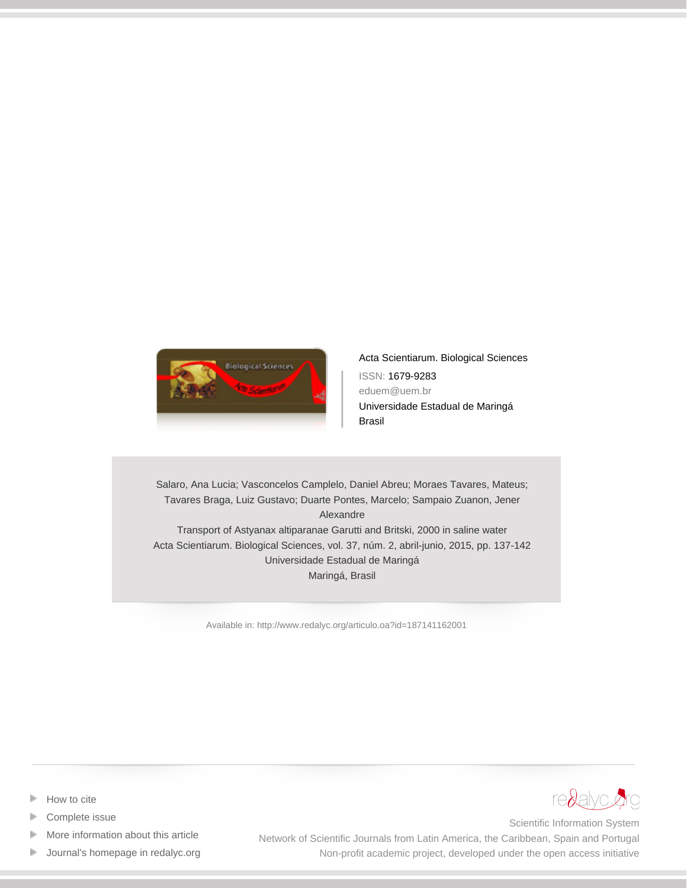

[Acta Scientiarum. Biological Sciences](http://www.redalyc.org/revista.oa?id=1871) ISSN: 1679-9283 eduem@uem.br Universidade Estadual de Maringá Brasil

Salaro, Ana Lucia; Vasconcelos Camplelo, Daniel Abreu; Moraes Tavares, Mateus; Tavares Braga, Luiz Gustavo; Duarte Pontes, Marcelo; Sampaio Zuanon, Jener Alexandre Transport of Astyanax altiparanae Garutti and Britski, 2000 in saline water Acta Scientiarum. Biological Sciences, vol. 37, núm. 2, abril-junio, 2015, pp. 137-142 Universidade Estadual de Maringá Maringá, Brasil

[Available in: http://www.redalyc.org/articulo.oa?id=187141162001](http://www.redalyc.org/articulo.oa?id=187141162001)



- [Complete issue](http://www.redalyc.org/fasciculo.oa?id=1871&numero=41162)
- [More information about this article](http://www.redalyc.org/articulo.oa?id=187141162001) Þ
- [Journal's homepage in redalyc.org](http://www.redalyc.org/revista.oa?id=1871)  $\mathbb P$



Scientific Information System Network of Scientific Journals from Latin America, the Caribbean, Spain and Portugal Non-profit academic project, developed under the open access initiative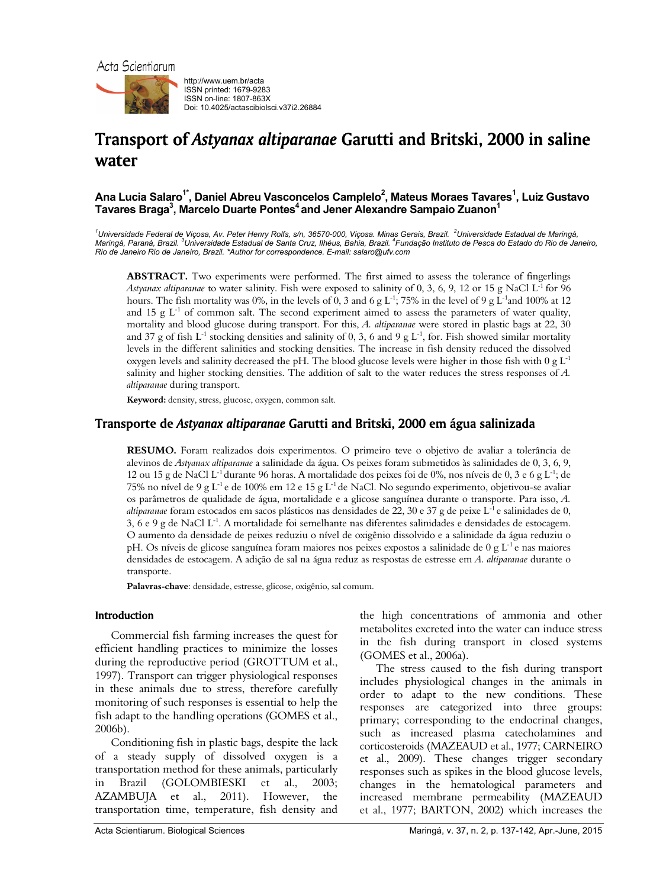

http://www.uem.br/acta ISSN printed: 1679-9283 ISSN on-line: 1807-863X Doi: 10.4025/actascibiolsci.v37i2.26884

# Transport of *Astyanax altiparanae* Garutti and Britski, 2000 in saline water

Ana Lucia Salaro<sup>1\*</sup>, Daniel Abreu Vasconcelos Camplelo<sup>2</sup>, Mateus Moraes Tavares<sup>1</sup>, Luiz Gustavo Tavares Braga<sup>3</sup>, Marcelo Duarte Pontes<sup>4</sup> and Jener Alexandre Sampaio Zuanon<sup>1</sup>

<sup>1</sup>Universidade Federal de Viçosa, Av. Peter Henry Rolfs, s/n, 36570-000, Viçosa. Minas Gerais, Brazil. <sup>2</sup>Universidade Estadual de Maringá, *Maringá, Paraná, Brazil. <sup>3</sup> Universidade Estadual de Santa Cruz, Ilhéus, Bahia, Brazil. 4 Fundação Instituto de Pesca do Estado do Rio de Janeiro, Rio de Janeiro Rio de Janeiro, Brazil. \*Author for correspondence. E-mail: salaro@ufv.com* 

**ABSTRACT.** Two experiments were performed. The first aimed to assess the tolerance of fingerlings *Astyanax altiparanae* to water salinity. Fish were exposed to salinity of 0, 3, 6, 9, 12 or 15 g NaCl L-1 for 96 hours. The fish mortality was 0%, in the levels of 0, 3 and 6 g  $L^{-1}$ ; 75% in the level of 9 g  $L^{-1}$ and 100% at 12 and 15 g  $L^{-1}$  of common salt. The second experiment aimed to assess the parameters of water quality, mortality and blood glucose during transport. For this, *A. altiparanae* were stored in plastic bags at 22, 30 and 37 g of fish L<sup>-1</sup> stocking densities and salinity of 0, 3, 6 and 9 g L<sup>-1</sup>, for. Fish showed similar mortality levels in the different salinities and stocking densities. The increase in fish density reduced the dissolved oxygen levels and salinity decreased the pH. The blood glucose levels were higher in those fish with  $0 \text{ g } L^{-1}$ salinity and higher stocking densities. The addition of salt to the water reduces the stress responses of *A. altiparanae* during transport.

**Keyword:** density, stress, glucose, oxygen, common salt.

## Transporte de *Astyanax altiparanae* Garutti and Britski, 2000 em água salinizada

**RESUMO.** Foram realizados dois experimentos. O primeiro teve o objetivo de avaliar a tolerância de alevinos de *Astyanax altiparanae* a salinidade da água. Os peixes foram submetidos às salinidades de 0, 3, 6, 9, 12 ou 15 g de NaCl L-1 durante 96 horas. A mortalidade dos peixes foi de 0%, nos níveis de 0, 3 e 6 g L-1; de 75% no nível de 9 g L<sup>-1</sup> e de 100% em 12 e 15 g L<sup>-1</sup> de NaCl. No segundo experimento, objetivou-se avaliar os parâmetros de qualidade de água, mortalidade e a glicose sanguínea durante o transporte. Para isso, *A. altiparanae* foram estocados em sacos plásticos nas densidades de 22, 30 e 37 g de peixe L-1 e salinidades de 0,  $3, 6$  e 9 g de NaCl L<sup>-1</sup>. A mortalidade foi semelhante nas diferentes salinidades e densidades de estocagem. O aumento da densidade de peixes reduziu o nível de oxigênio dissolvido e a salinidade da água reduziu o pH. Os níveis de glicose sanguínea foram maiores nos peixes expostos a salinidade de  $0 \text{ g L}^{-1}$ e nas maiores densidades de estocagem. A adição de sal na água reduz as respostas de estresse em *A. altiparanae* durante o transporte.

**Palavras-chave**: densidade, estresse, glicose, oxigênio, sal comum.

## Introduction

Commercial fish farming increases the quest for efficient handling practices to minimize the losses during the reproductive period (GROTTUM et al., 1997). Transport can trigger physiological responses in these animals due to stress, therefore carefully monitoring of such responses is essential to help the fish adapt to the handling operations (GOMES et al., 2006b).

Conditioning fish in plastic bags, despite the lack of a steady supply of dissolved oxygen is a transportation method for these animals, particularly in Brazil (GOLOMBIESKI et al., 2003; AZAMBUJA et al., 2011). However, the transportation time, temperature, fish density and

the high concentrations of ammonia and other metabolites excreted into the water can induce stress in the fish during transport in closed systems (GOMES et al., 2006a).

The stress caused to the fish during transport includes physiological changes in the animals in order to adapt to the new conditions. These responses are categorized into three groups: primary; corresponding to the endocrinal changes, such as increased plasma catecholamines and corticosteroids (MAZEAUD et al., 1977; CARNEIRO et al., 2009). These changes trigger secondary responses such as spikes in the blood glucose levels, changes in the hematological parameters and increased membrane permeability (MAZEAUD et al., 1977; BARTON, 2002) which increases the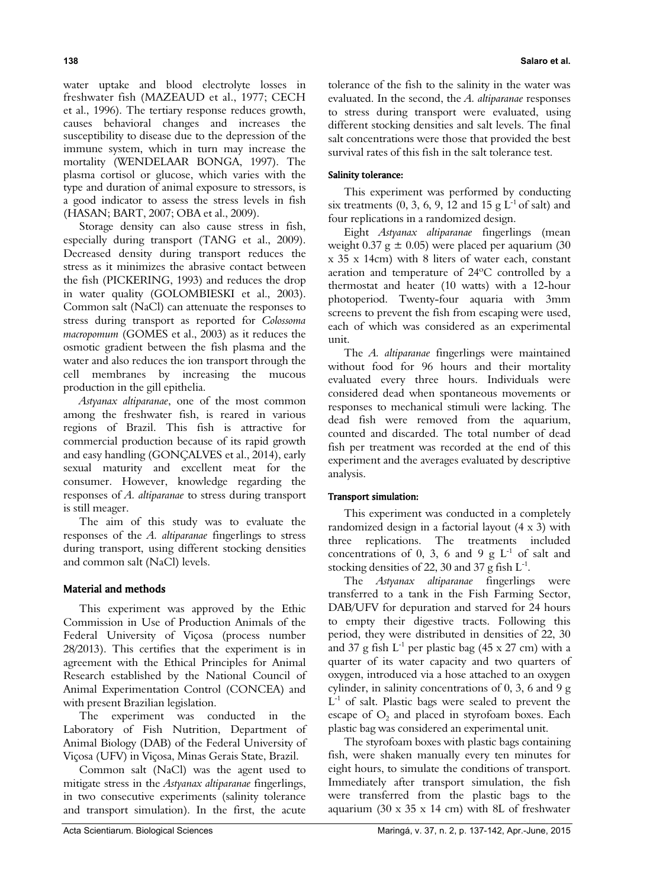water uptake and blood electrolyte losses in freshwater fish (MAZEAUD et al., 1977; CECH et al., 1996). The tertiary response reduces growth, causes behavioral changes and increases the susceptibility to disease due to the depression of the immune system, which in turn may increase the mortality (WENDELAAR BONGA, 1997). The plasma cortisol or glucose, which varies with the type and duration of animal exposure to stressors, is a good indicator to assess the stress levels in fish (HASAN; BART, 2007; OBA et al., 2009).

Storage density can also cause stress in fish, especially during transport (TANG et al., 2009). Decreased density during transport reduces the stress as it minimizes the abrasive contact between the fish (PICKERING, 1993) and reduces the drop in water quality (GOLOMBIESKI et al., 2003). Common salt (NaCl) can attenuate the responses to stress during transport as reported for *Colossoma macropomum* (GOMES et al., 2003) as it reduces the osmotic gradient between the fish plasma and the water and also reduces the ion transport through the cell membranes by increasing the mucous production in the gill epithelia.

*Astyanax altiparanae*, one of the most common among the freshwater fish, is reared in various regions of Brazil. This fish is attractive for commercial production because of its rapid growth and easy handling (GONÇALVES et al., 2014), early sexual maturity and excellent meat for the consumer. However, knowledge regarding the responses of *A. altiparanae* to stress during transport is still meager.

The aim of this study was to evaluate the responses of the *A. altiparanae* fingerlings to stress during transport, using different stocking densities and common salt (NaCl) levels.

## Material and methods

This experiment was approved by the Ethic Commission in Use of Production Animals of the Federal University of Viçosa (process number 28/2013). This certifies that the experiment is in agreement with the Ethical Principles for Animal Research established by the National Council of Animal Experimentation Control (CONCEA) and with present Brazilian legislation.

The experiment was conducted in the Laboratory of Fish Nutrition, Department of Animal Biology (DAB) of the Federal University of Viçosa (UFV) in Viçosa, Minas Gerais State, Brazil.

Common salt (NaCl) was the agent used to mitigate stress in the *Astyanax altiparanae* fingerlings, in two consecutive experiments (salinity tolerance and transport simulation). In the first, the acute tolerance of the fish to the salinity in the water was evaluated. In the second, the *A. altiparanae* responses to stress during transport were evaluated, using different stocking densities and salt levels. The final salt concentrations were those that provided the best survival rates of this fish in the salt tolerance test.

#### Salinity tolerance:

This experiment was performed by conducting six treatments  $(0, 3, 6, 9, 12 \text{ and } 15 \text{ g } L^{-1}$  of salt) and four replications in a randomized design.

Eight *Astyanax altiparanae* fingerlings (mean weight  $0.37$  g  $\pm 0.05$ ) were placed per aquarium (30 x 35 x 14cm) with 8 liters of water each, constant aeration and temperature of 24ºC controlled by a thermostat and heater (10 watts) with a 12-hour photoperiod. Twenty-four aquaria with 3mm screens to prevent the fish from escaping were used, each of which was considered as an experimental unit.

The *A. altiparanae* fingerlings were maintained without food for 96 hours and their mortality evaluated every three hours. Individuals were considered dead when spontaneous movements or responses to mechanical stimuli were lacking. The dead fish were removed from the aquarium, counted and discarded. The total number of dead fish per treatment was recorded at the end of this experiment and the averages evaluated by descriptive analysis.

#### Transport simulation:

This experiment was conducted in a completely randomized design in a factorial layout (4 x 3) with three replications. The treatments included concentrations of 0, 3, 6 and 9  $g L^{-1}$  of salt and stocking densities of 22, 30 and 37 g fish  $L^{-1}$ .

The *Astyanax altiparanae* fingerlings were transferred to a tank in the Fish Farming Sector, DAB/UFV for depuration and starved for 24 hours to empty their digestive tracts. Following this period, they were distributed in densities of 22, 30 and 37 g fish  $L^{-1}$  per plastic bag (45 x 27 cm) with a quarter of its water capacity and two quarters of oxygen, introduced via a hose attached to an oxygen cylinder, in salinity concentrations of 0, 3, 6 and 9 g  $L^{-1}$  of salt. Plastic bags were sealed to prevent the escape of  $O<sub>2</sub>$  and placed in styrofoam boxes. Each plastic bag was considered an experimental unit.

The styrofoam boxes with plastic bags containing fish, were shaken manually every ten minutes for eight hours, to simulate the conditions of transport. Immediately after transport simulation, the fish were transferred from the plastic bags to the aquarium (30 x 35 x 14 cm) with 8L of freshwater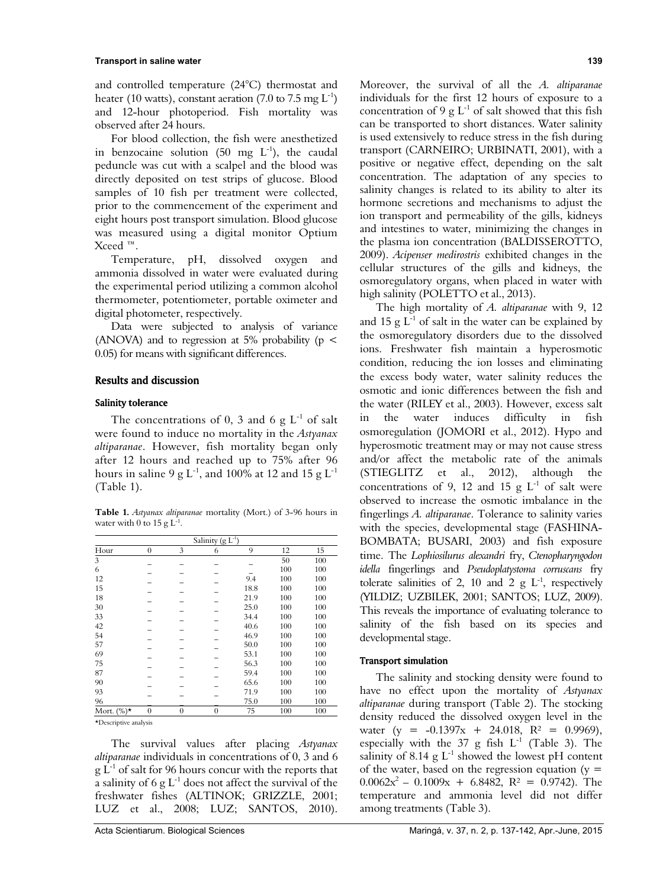#### **Transport in saline water 139**

and controlled temperature (24°C) thermostat and heater (10 watts), constant aeration (7.0 to 7.5 mg  $L^{-1}$ ) and 12-hour photoperiod. Fish mortality was observed after 24 hours.

For blood collection, the fish were anesthetized in benzocaine solution (50 mg  $L^{-1}$ ), the caudal peduncle was cut with a scalpel and the blood was directly deposited on test strips of glucose. Blood samples of 10 fish per treatment were collected, prior to the commencement of the experiment and eight hours post transport simulation. Blood glucose was measured using a digital monitor Optium Xceed ™.

Temperature, pH, dissolved oxygen and ammonia dissolved in water were evaluated during the experimental period utilizing a common alcohol thermometer, potentiometer, portable oximeter and digital photometer, respectively.

Data were subjected to analysis of variance (ANOVA) and to regression at 5% probability ( $p <$ 0.05) for means with significant differences.

### Results and discussion

#### Salinity tolerance

The concentrations of 0, 3 and 6  $g L^{-1}$  of salt were found to induce no mortality in the *Astyanax altiparanae*. However, fish mortality began only after 12 hours and reached up to 75% after 96 hours in saline 9 g L<sup>-1</sup>, and 100% at 12 and 15 g L<sup>-1</sup> (Table 1).

**Table 1.** *Astyanax altiparanae* mortality (Mort.) of 3-96 hours in water with 0 to 15 g  $L^{-1}$ .

| Salinity $(g L^{-1})$ |              |              |              |      |     |     |
|-----------------------|--------------|--------------|--------------|------|-----|-----|
| Hour                  | $\mathbf{0}$ | 3            | 6            | 9    | 12  | 15  |
| 3                     |              |              |              |      | 50  | 100 |
| 6                     |              |              |              |      | 100 | 100 |
| 12                    |              |              |              | 9.4  | 100 | 100 |
| 15                    |              |              |              | 18.8 | 100 | 100 |
| 18                    |              |              |              | 21.9 | 100 | 100 |
| 30                    |              |              |              | 25.0 | 100 | 100 |
| 33                    |              |              |              | 34.4 | 100 | 100 |
| 42                    |              |              |              | 40.6 | 100 | 100 |
| 54                    |              |              |              | 46.9 | 100 | 100 |
| 57                    |              |              |              | 50.0 | 100 | 100 |
| 69                    |              |              |              | 53.1 | 100 | 100 |
| 75                    |              |              |              | 56.3 | 100 | 100 |
| 87                    |              |              |              | 59.4 | 100 | 100 |
| 90                    |              |              |              | 65.6 | 100 | 100 |
| 93                    |              |              |              | 71.9 | 100 | 100 |
| 96                    |              |              |              | 75.0 | 100 | 100 |
| Mort. $(\%)^*$        | $\mathbf{0}$ | $\mathbf{0}$ | $\mathbf{0}$ | 75   | 100 | 100 |

\*Descriptive analysis

The survival values after placing *Astyanax altiparanae* individuals in concentrations of 0, 3 and 6  $g L<sup>-1</sup>$  of salt for 96 hours concur with the reports that a salinity of 6 g  $L^{-1}$  does not affect the survival of the freshwater fishes (ALTINOK; GRIZZLE, 2001; LUZ et al., 2008; LUZ; SANTOS, 2010).

Moreover, the survival of all the *A. altiparanae* individuals for the first 12 hours of exposure to a concentration of 9 g  $L^{-1}$  of salt showed that this fish can be transported to short distances. Water salinity is used extensively to reduce stress in the fish during transport (CARNEIRO; URBINATI, 2001), with a positive or negative effect, depending on the salt concentration. The adaptation of any species to salinity changes is related to its ability to alter its hormone secretions and mechanisms to adjust the ion transport and permeability of the gills, kidneys and intestines to water, minimizing the changes in the plasma ion concentration (BALDISSEROTTO, 2009). *Acipenser medirostris* exhibited changes in the cellular structures of the gills and kidneys, the osmoregulatory organs, when placed in water with high salinity (POLETTO et al., 2013).

The high mortality of *A. altiparanae* with 9, 12 and 15 g  $L^{-1}$  of salt in the water can be explained by the osmoregulatory disorders due to the dissolved ions. Freshwater fish maintain a hyperosmotic condition, reducing the ion losses and eliminating the excess body water, water salinity reduces the osmotic and ionic differences between the fish and the water (RILEY et al., 2003). However, excess salt in the water induces difficulty in fish osmoregulation (JOMORI et al., 2012). Hypo and hyperosmotic treatment may or may not cause stress and/or affect the metabolic rate of the animals (STIEGLITZ et al., 2012), although the concentrations of 9, 12 and 15 g  $L^{-1}$  of salt were observed to increase the osmotic imbalance in the fingerlings *A. altiparanae*. Tolerance to salinity varies with the species, developmental stage (FASHINA-BOMBATA; BUSARI, 2003) and fish exposure time. The *Lophiosilurus alexandri* fry, *Ctenopharyngodon idella* fingerlings and *Pseudoplatystoma corruscans* fry tolerate salinities of 2, 10 and 2 g  $L^{-1}$ , respectively (YILDIZ; UZBILEK, 2001; SANTOS; LUZ, 2009). This reveals the importance of evaluating tolerance to salinity of the fish based on its species and developmental stage.

#### Transport simulation

The salinity and stocking density were found to have no effect upon the mortality of *Astyanax altiparanae* during transport (Table 2). The stocking density reduced the dissolved oxygen level in the water (y =  $-0.1397x + 24.018$ , R<sup>2</sup> = 0.9969), especially with the 37 g fish  $L^{-1}$  (Table 3). The salinity of 8.14 g  $L^{-1}$  showed the lowest pH content of the water, based on the regression equation  $(y =$  $0.0062x^2 - 0.1009x + 6.8482$ ,  $R^2 = 0.9742$ ). The temperature and ammonia level did not differ among treatments (Table 3).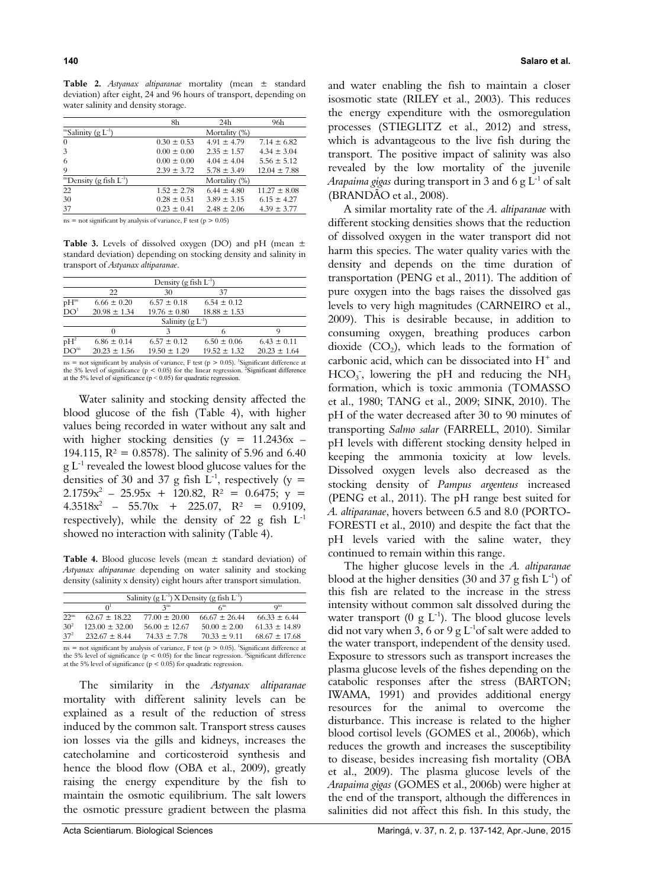**Table 2.** *Astyanax altiparanae* mortality (mean ± standard deviation) after eight, 24 and 96 hours of transport, depending on water salinity and density storage.

|                                          | 8h              | 24h             | 96h              |
|------------------------------------------|-----------------|-----------------|------------------|
| <sup>ns</sup> Salinity (g $L^{-1}$ )     |                 | Mortality (%)   |                  |
| $\theta$                                 | $0.30 \pm 0.53$ | $491 + 479$     | $7.14 \pm 6.82$  |
| 3                                        | $0.00 \pm 0.00$ | $2.35 \pm 1.57$ | $4.34 \pm 3.04$  |
| 6                                        | $0.00 \pm 0.00$ | $4.04 \pm 4.04$ | $5.56 \pm 5.12$  |
| 9                                        | $2.39 \pm 3.72$ | $5.78 \pm 3.49$ | $12.04 \pm 7.88$ |
| <sup>ns</sup> Density (g fish $L^{-1}$ ) |                 | Mortality (%)   |                  |
| 22                                       | $1.52 \pm 2.78$ | $6.44 \pm 4.80$ | $11.27 \pm 8.08$ |
| 30                                       | $0.28 \pm 0.51$ | $3.89 + 3.15$   | $6.15 \pm 4.27$  |
| 37                                       | $0.23 \pm 0.41$ | $2.48 \pm 2.06$ | $4.39 \pm 3.77$  |
|                                          |                 |                 |                  |

 $ns = not significant by analysis of variance, F test (p > 0.05)$ 

Table 3. Levels of dissolved oxygen (DO) and pH (mean  $\pm$ standard deviation) depending on stocking density and salinity in transport of *Astyanax altiparanae*.

| Density (g fish $L^{-1}$ ) |                  |                  |                  |                  |  |
|----------------------------|------------------|------------------|------------------|------------------|--|
|                            | $\mathfrak{D}$   | 30               | 37               |                  |  |
| pH <sub>ns</sub>           | $6.66 \pm 0.20$  | $6.57 \pm 0.18$  | $6.54 \pm 0.12$  |                  |  |
| DO <sup>1</sup>            | $20.98 \pm 1.34$ | $19.76 \pm 0.80$ | $18.88 \pm 1.53$ |                  |  |
| Salinity $(g L^{-1})$      |                  |                  |                  |                  |  |
|                            |                  |                  |                  |                  |  |
| $pH^2$                     | $6.86 \pm 0.14$  | $6.57 \pm 0.12$  | $6.50 \pm 0.06$  | $6.43 \pm 0.11$  |  |
| DO <sup>ns</sup>           | $20.23 \pm 1.56$ | $19.50 \pm 1.29$ | $19.52 \pm 1.32$ | $20.23 \pm 1.64$ |  |

 $ns = not significant by analysis of variance, F test (p > 0.05).$ <sup>1</sup>Significant difference at the 5% level of significance ( $p < 0.05$ ) for the linear regression. <sup>2</sup>Significant difference at the 5% level of significance  $(p < 0.05)$  for quadratic regression.

Water salinity and stocking density affected the blood glucose of the fish (Table 4), with higher values being recorded in water without any salt and with higher stocking densities ( $y = 11.2436x$  – 194.115,  $R^2 = 0.8578$ . The salinity of 5.96 and 6.40  $g L<sup>-1</sup>$  revealed the lowest blood glucose values for the densities of 30 and 37 g fish  $L^{-1}$ , respectively (y =  $2.1759x^2 - 25.95x + 120.82$ ,  $R^2 = 0.6475$ ;  $y =$  $4.3518x^2$  – 55.70x + 225.07, R<sup>2</sup> = 0.9109, respectively), while the density of 22 g fish  $L^{-1}$ showed no interaction with salinity (Table 4).

**Table 4.** Blood glucose levels (mean ± standard deviation) of *Astyanax altiparanae* depending on water salinity and stocking density (salinity x density) eight hours after transport simulation.

| Salinity (g $L^{-1}$ ) X Density (g fish $L^{-1}$ ) |                       |                 |                           |                   |
|-----------------------------------------------------|-----------------------|-----------------|---------------------------|-------------------|
|                                                     | $\Omega$ <sup>1</sup> | 2 <sub>ns</sub> | $\mathcal{L}^{\text{ns}}$ | Q <sub>ns</sub>   |
| $22$ <sup>ns</sup>                                  | $6267 + 1822$         | $77.00 + 20.00$ | $66.67 \pm 26.44$         | $66.33 \pm 6.44$  |
| $30^{2}$                                            | $123.00 \pm 32.00$    | $5600 + 1267$   | $50.00 \pm 2.00$          | $6133 + 1489$     |
| $37^{2}$                                            | $23267 + 844$         | $7433 + 778$    | $7033 + 911$              | $68.67 \pm 17.68$ |
|                                                     |                       |                 |                           |                   |

 $ns = not significant by analysis of variance, F test (p > 0.05).$ <sup>1</sup>Significant difference at the 5% level of significance ( $p < 0.05$ ) for the linear regression. <sup>2</sup>Significant difference at the 5% level of significance ( $p < 0.05$ ) for quadratic regression.

The similarity in the *Astyanax altiparanae* mortality with different salinity levels can be explained as a result of the reduction of stress induced by the common salt. Transport stress causes ion losses via the gills and kidneys, increases the catecholamine and corticosteroid synthesis and hence the blood flow (OBA et al., 2009), greatly raising the energy expenditure by the fish to maintain the osmotic equilibrium. The salt lowers the osmotic pressure gradient between the plasma

and water enabling the fish to maintain a closer isosmotic state (RILEY et al., 2003). This reduces the energy expenditure with the osmoregulation processes (STIEGLITZ et al., 2012) and stress, which is advantageous to the live fish during the transport. The positive impact of salinity was also revealed by the low mortality of the juvenile *Arapaima gigas* during transport in 3 and 6 g L-1 of salt (BRANDÃO et al., 2008).

A similar mortality rate of the *A. altiparanae* with different stocking densities shows that the reduction of dissolved oxygen in the water transport did not harm this species. The water quality varies with the density and depends on the time duration of transportation (PENG et al., 2011). The addition of pure oxygen into the bags raises the dissolved gas levels to very high magnitudes (CARNEIRO et al., 2009). This is desirable because, in addition to consuming oxygen, breathing produces carbon dioxide  $(CO<sub>2</sub>)$ , which leads to the formation of carbonic acid, which can be dissociated into  $H^+$  and  $HCO<sub>3</sub>$ , lowering the pH and reducing the NH<sub>3</sub> formation, which is toxic ammonia (TOMASSO et al., 1980; TANG et al., 2009; SINK, 2010). The pH of the water decreased after 30 to 90 minutes of transporting *Salmo salar* (FARRELL, 2010). Similar pH levels with different stocking density helped in keeping the ammonia toxicity at low levels. Dissolved oxygen levels also decreased as the stocking density of *Pampus argenteus* increased (PENG et al., 2011). The pH range best suited for *A. altiparanae*, hovers between 6.5 and 8.0 (PORTO-FORESTI et al., 2010) and despite the fact that the pH levels varied with the saline water, they continued to remain within this range.

The higher glucose levels in the *A. altiparanae*  blood at the higher densities (30 and 37 g fish  $L^{-1}$ ) of this fish are related to the increase in the stress intensity without common salt dissolved during the water transport (0 g  $L^{-1}$ ). The blood glucose levels did not vary when 3, 6 or 9 g  $L^{-1}$ of salt were added to the water transport, independent of the density used. Exposure to stressors such as transport increases the plasma glucose levels of the fishes depending on the catabolic responses after the stress (BARTON; IWAMA, 1991) and provides additional energy resources for the animal to overcome the disturbance. This increase is related to the higher blood cortisol levels (GOMES et al., 2006b), which reduces the growth and increases the susceptibility to disease, besides increasing fish mortality (OBA et al., 2009). The plasma glucose levels of the *Arapaima gigas* (GOMES et al., 2006b) were higher at the end of the transport, although the differences in salinities did not affect this fish. In this study, the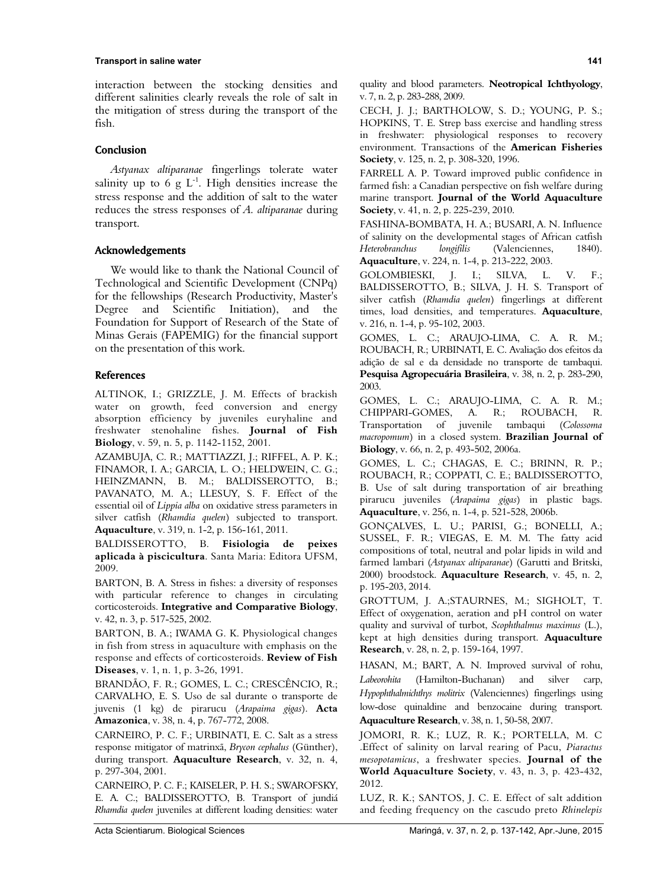#### **Transport in saline water 141**

interaction between the stocking densities and different salinities clearly reveals the role of salt in the mitigation of stress during the transport of the fish.

### Conclusion

*Astyanax altiparanae* fingerlings tolerate water salinity up to 6 g  $L^{-1}$ . High densities increase the stress response and the addition of salt to the water reduces the stress responses of *A. altiparanae* during transport.

### Acknowledgements

We would like to thank the National Council of Technological and Scientific Development (CNPq) for the fellowships (Research Productivity, Master's Degree and Scientific Initiation), and the Foundation for Support of Research of the State of Minas Gerais (FAPEMIG) for the financial support on the presentation of this work.

#### **References**

ALTINOK, I.; GRIZZLE, J. M. Effects of brackish water on growth, feed conversion and energy absorption efficiency by juveniles euryhaline and freshwater stenohaline fishes. **Journal of Fish Biology**, v. 59, n. 5, p. 1142-1152, 2001.

AZAMBUJA, C. R.; MATTIAZZI, J.; RIFFEL, A. P. K.; FINAMOR, I. A.; GARCIA, L. O.; HELDWEIN, C. G.; HEINZMANN, B. M.; BALDISSEROTTO, B.; PAVANATO, M. A.; LLESUY, S. F. Effect of the essential oil of *Lippia alba* on oxidative stress parameters in silver catfish (*Rhamdia quelen*) subjected to transport. **Aquaculture**, v. 319, n. 1-2, p. 156-161, 2011.

BALDISSEROTTO, B. **Fisiologia de peixes aplicada à piscicultura**. Santa Maria: Editora UFSM, 2009.

BARTON, B. A. Stress in fishes: a diversity of responses with particular reference to changes in circulating corticosteroids. **Integrative and Comparative Biology**, v. 42, n. 3, p. 517-525, 2002.

BARTON, B. A.; IWAMA G. K. Physiological changes in fish from stress in aquaculture with emphasis on the response and effects of corticosteroids. **Review of Fish Diseases**, v. 1, n. 1, p. 3-26, 1991.

BRANDÃO, F. R.; GOMES, L. C.; CRESCÊNCIO, R.; CARVALHO, E. S. Uso de sal durante o transporte de juvenis (1 kg) de pirarucu (*Arapaima gigas*). **Acta Amazonica**, v. 38, n. 4, p. 767-772, 2008.

CARNEIRO, P. C. F.; URBINATI, E. C. Salt as a stress response mitigator of matrinxã, *Brycon cephalus* (Günther), during transport. **Aquaculture Research**, v. 32, n. 4, p. 297-304, 2001.

CARNEIRO, P. C. F.; KAISELER, P. H. S.; SWAROFSKY, E. A. C.; BALDISSEROTTO, B. Transport of jundiá *Rhamdia quelen* juveniles at different loading densities: water quality and blood parameters. **Neotropical Ichthyology**, v. 7, n. 2, p. 283-288, 2009.

CECH, J. J.; BARTHOLOW, S. D.; YOUNG, P. S.; HOPKINS, T. E. Strep bass exercise and handling stress in freshwater: physiological responses to recovery environment. Transactions of the **American Fisheries Society**, v. 125, n. 2, p. 308-320, 1996.

FARRELL A. P. Toward improved public confidence in farmed fish: a Canadian perspective on fish welfare during marine transport. **Journal of the World Aquaculture Society**, v. 41, n. 2, p. 225-239, 2010.

FASHINA-BOMBATA, H. A.; BUSARI, A. N. Influence of salinity on the developmental stages of African catfish *Heterobranchus longifilis* (Valenciennes, 1840). **Aquaculture**, v. 224, n. 1-4, p. 213-222, 2003.

GOLOMBIESKI, J. I.; SILVA, L. V. F.; BALDISSEROTTO, B.; SILVA, J. H. S. Transport of silver catfish (*Rhamdia quelen*) fingerlings at different times, load densities, and temperatures. **Aquaculture**, v. 216, n. 1-4, p. 95-102, 2003.

GOMES, L. C.; ARAUJO-LIMA, C. A. R. M.; ROUBACH, R.; URBINATI, E. C. Avaliação dos efeitos da adição de sal e da densidade no transporte de tambaqui. **Pesquisa Agropecuária Brasileira**, v. 38, n. 2, p. 283-290, 2003.

GOMES, L. C.; ARAUJO-LIMA, C. A. R. M.; CHIPPARI-GOMES, A. R.; ROUBACH, R. Transportation of juvenile tambaqui (*Colossoma macropomum*) in a closed system. **Brazilian Journal of Biology**, v. 66, n. 2, p. 493-502, 2006a.

GOMES, L. C.; CHAGAS, E. C.; BRINN, R. P.; ROUBACH, R.; COPPATI, C. E.; BALDISSEROTTO, B. Use of salt during transportation of air breathing pirarucu juveniles (*Arapaima gigas*) in plastic bags. **Aquaculture**, v. 256, n. 1-4, p. 521-528, 2006b.

GONÇALVES, L. U.; PARISI, G.; BONELLI, A.; SUSSEL, F. R.; VIEGAS, E. M. M. The fatty acid compositions of total, neutral and polar lipids in wild and farmed lambari (*Astyanax altiparanae*) (Garutti and Britski, 2000) broodstock. **Aquaculture Research**, v. 45, n. 2, p. 195-203, 2014.

GROTTUM, J. A.;STAURNES, M.; SIGHOLT, T. Effect of oxygenation, aeration and pH control on water quality and survival of turbot, *Scophthalmus maximus* (L.), kept at high densities during transport. **Aquaculture Research**, v. 28, n. 2, p. 159-164, 1997.

HASAN, M.; BART, A. N. Improved survival of rohu, *Labeorohita* (Hamilton-Buchanan) and silver carp, *Hypophthalmichthys molitrix* (Valenciennes) fingerlings using low-dose quinaldine and benzocaine during transport. **Aquaculture Research**, v. 38, n. 1, 50-58, 2007.

JOMORI, R. K.; LUZ, R. K.; PORTELLA, M. C .Effect of salinity on larval rearing of Pacu, *Piaractus mesopotamicus*, a freshwater species. **Journal of the World Aquaculture Society**, v. 43, n. 3, p. 423-432, 2012.

LUZ, R. K.; SANTOS, J. C. E. Effect of salt addition and feeding frequency on the cascudo preto *Rhinelepis*